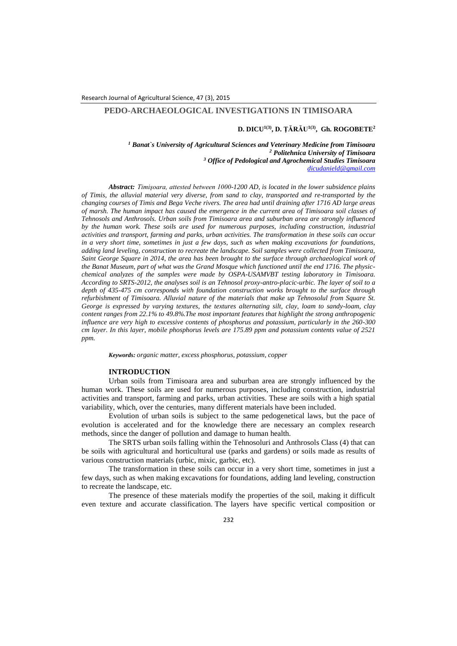# **PEDO-ARCHAEOLOGICAL INVESTIGATIONS IN TIMISOARA**

### **D. DICU1(3) , D. ŢĂRĂU1(3), Gh. ROGOBETE<sup>2</sup>**

 *Banat`s University of Agricultural Sciences and Veterinary Medicine from Timisoara Politehnica University of Timisoara Office of Pedological and Agrochemical Studies Timisoara [dicudanield@gmail.com](mailto:dicudanield@gmail.com)*

*Abstract: Timişoara, attested between 1000-1200 AD, is located in the lower subsidence plains of Timis, the alluvial material very diverse, from sand to clay, transported and re-transported by the changing courses of Timis and Bega Veche rivers. The area had until draining after 1716 AD large areas of marsh. The human impact has caused the emergence in the current area of Timisoara soil classes of Tehnosols and Anthrosols. Urban soils from Timisoara area and suburban area are strongly influenced by the human work. These soils are used for numerous purposes, including construction, industrial activities and transport, farming and parks, urban activities. The transformation in these soils can occur in a very short time, sometimes in just a few days, such as when making excavations for foundations, adding land leveling, construction to recreate the landscape. Soil samples were collected from Timisoara, Saint George Square in 2014, the area has been brought to the surface through archaeological work of the Banat Museum, part of what was the Grand Mosque which functioned until the end 1716. The physicchemical analyzes of the samples were made by OSPA-USAMVBT testing laboratory in Timisoara. According to SRTS-2012, the analyses soil is an Tehnosol proxy-antro-placic-urbic. The layer of soil to a depth of 435-475 cm corresponds with foundation construction works brought to the surface through refurbishment of Timisoara. Alluvial nature of the materials that make up Tehnosolul from Square St. George is expressed by varying textures, the textures alternating silt, clay, loam to sandy-loam, clay content ranges from 22.1% to 49.8%.The most important features that highlight the strong anthropogenic influence are very high to excessive contents of phosphorus and potassium, particularly in the 260-300 cm layer. In this layer, mobile phosphorus levels are 175.89 ppm and potassium contents value of 2521 ppm.*

*Keywords: organic matter, excess phosphorus, potassium, copper*

#### **INTRODUCTION**

Urban soils from Timisoara area and suburban area are strongly influenced by the human work. These soils are used for numerous purposes, including construction, industrial activities and transport, farming and parks, urban activities. These are soils with a high spatial variability, which, over the centuries, many different materials have been included.

Evolution of urban soils is subject to the same pedogenetical laws, but the pace of evolution is accelerated and for the knowledge there are necessary an complex research methods, since the danger of pollution and damage to human health.

The SRTS urban soils falling within the Tehnosoluri and Anthrosols Class (4) that can be soils with agricultural and horticultural use (parks and gardens) or soils made as results of various construction materials (urbic, mixic, garbic, etc).

The transformation in these soils can occur in a very short time, sometimes in just a few days, such as when making excavations for foundations, adding land leveling, construction to recreate the landscape, etc.

The presence of these materials modify the properties of the soil, making it difficult even texture and accurate classification. The layers have specific vertical composition or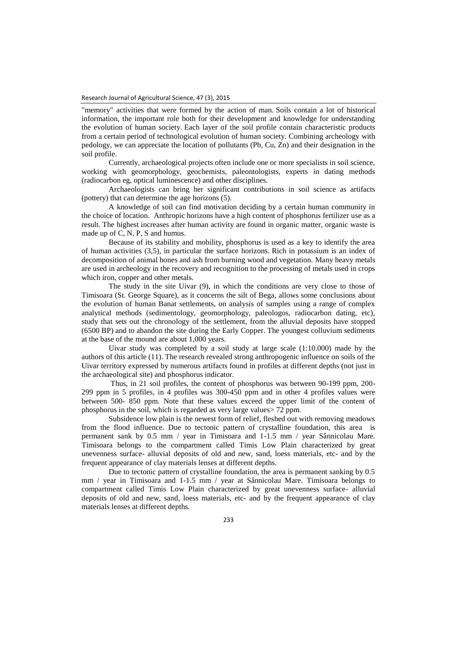"memory" activities that were formed by the action of man. Soils contain a lot of historical information, the important role both for their development and knowledge for understanding the evolution of human society. Each layer of the soil profile contain characteristic products from a certain period of technological evolution of human society. Combining archeology with pedology, we can appreciate the location of pollutants (Pb, Cu, Zn) and their designation in the soil profile.

Currently, archaeological projects often include one or more specialists in soil science, working with geomorphology, geochemists, paleontologists, experts in dating methods (radiocarbon eg, optical luminescence) and other disciplines.

Archaeologists can bring her significant contributions in soil science as artifacts (pottery) that can determine the age horizons (5).

A knowledge of soil can find motivation deciding by a certain human community in the choice of location. Anthropic horizons have a high content of phosphorus fertilizer use as a result. The highest increases after human activity are found in organic matter, organic waste is made up of C, N, P, S and humus.

Because of its stability and mobility, phosphorus is used as a key to identify the area of human activities (3,5), in particular the surface horizons. Rich in potassium is an index of decomposition of animal bones and ash from burning wood and vegetation. Many heavy metals are used in archeology in the recovery and recognition to the processing of metals used in crops which iron, copper and other metals.

The study in the site Uivar (9), in which the conditions are very close to those of Timisoara (St. George Square), as it concerns the silt of Bega, allows some conclusions about the evolution of human Banat settlements, on analysis of samples using a range of complex analytical methods (sedimentology, geomorphology, paleologos, radiocarbon dating, etc), study that sets out the chronology of the settlement, from the alluvial deposits have stopped (6500 BP) and to abandon the site during the Early Copper. The youngest colluvium sediments at the base of the mound are about 1,000 years.

Uivar study was completed by a soil study at large scale (1:10.000) made by the authors of this article (11). The research revealed strong anthropogenic influence on soils of the Uivar territory expressed by numerous artifacts found in profiles at different depths (not just in the archaeological site) and phosphorus indicator.

Thus, in 21 soil profiles, the content of phosphorus was between 90-199 ppm, 200- 299 ppm in 5 profiles, in 4 profiles was 300-450 ppm and in other 4 profiles values were between 500- 850 ppm. Note that these values exceed the upper limit of the content of phosphorus in the soil, which is regarded as very large values> 72 ppm.

Subsidence low plain is the newest form of relief, fleshed out with removing meadows from the flood influence. Due to tectonic pattern of crystalline foundation, this area is permanent sank by 0.5 mm / year in Timisoara and 1-1.5 mm / year Sânnicolau Mare. Timisoara belongs to the compartment called Timis Low Plain characterized by great unevenness surface- alluvial deposits of old and new, sand, loess materials, etc- and by the frequent appearance of clay materials lenses at different depths.

Due to tectonic pattern of crystalline foundation, the area is permanent sanking by 0.5 mm / year in Timisoara and 1-1.5 mm / year at Sânnicolau Mare. Timisoara belongs to compartment called Timis Low Plain characterized by great unevenness surface- alluvial deposits of old and new, sand, loess materials, etc- and by the frequent appearance of clay materials lenses at different depths.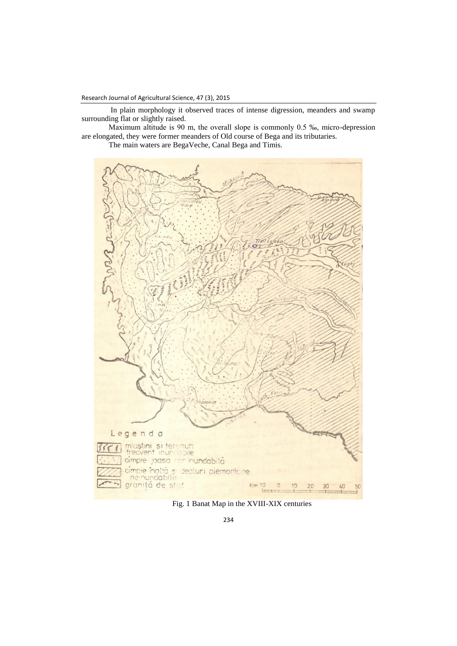In plain morphology it observed traces of intense digression, meanders and swamp surrounding flat or slightly raised.

Maximum altitude is 90 m, the overall slope is commonly 0.5 ‰, micro-depression are elongated, they were former meanders of Old course of Bega and its tributaries.

The main waters are BegaVeche, Canal Bega and Timis.



Fig. 1 Banat Map in the XVIII-XIX centuries

234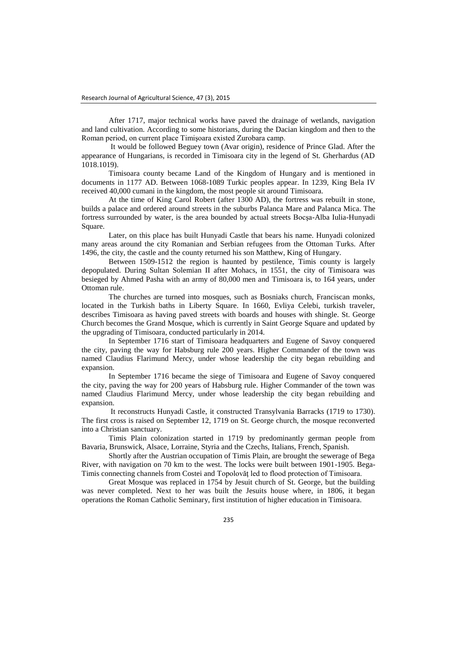After 1717, major technical works have paved the drainage of wetlands, navigation and land cultivation. According to some historians, during the Dacian kingdom and then to the Roman period, on current place Timişoara existed Zurobara camp.

It would be followed Beguey town (Avar origin), residence of Prince Glad. After the appearance of Hungarians, is recorded in Timisoara city in the legend of St. Gherhardus (AD 1018.1019).

Timisoara county became Land of the Kingdom of Hungary and is mentioned in documents in 1177 AD. Between 1068-1089 Turkic peoples appear. In 1239, King Bela IV received 40,000 cumani in the kingdom, the most people sit around Timisoara.

At the time of King Carol Robert (after 1300 AD), the fortress was rebuilt in stone, builds a palace and ordered around streets in the suburbs Palanca Mare and Palanca Mica. The fortress surrounded by water, is the area bounded by actual streets Bocşa-Alba Iulia-Hunyadi Square.

Later, on this place has built Hunyadi Castle that bears his name. Hunyadi colonized many areas around the city Romanian and Serbian refugees from the Ottoman Turks. After 1496, the city, the castle and the county returned his son Matthew, King of Hungary.

Between 1509-1512 the region is haunted by pestilence, Timis county is largely depopulated. During Sultan Solemian II after Mohacs, in 1551, the city of Timisoara was besieged by Ahmed Pasha with an army of 80,000 men and Timisoara is, to 164 years, under Ottoman rule.

The churches are turned into mosques, such as Bosniaks church, Franciscan monks, located in the Turkish baths in Liberty Square. In 1660, Evliya Celebi, turkish traveler, describes Timisoara as having paved streets with boards and houses with shingle. St. George Church becomes the Grand Mosque, which is currently in Saint George Square and updated by the upgrading of Timisoara, conducted particularly in 2014.

In September 1716 start of Timisoara headquarters and Eugene of Savoy conquered the city, paving the way for Habsburg rule 200 years. Higher Commander of the town was named Claudius Flarimund Mercy, under whose leadership the city began rebuilding and expansion.

In September 1716 became the siege of Timisoara and Eugene of Savoy conquered the city, paving the way for 200 years of Habsburg rule. Higher Commander of the town was named Claudius Flarimund Mercy, under whose leadership the city began rebuilding and expansion.

It reconstructs Hunyadi Castle, it constructed Transylvania Barracks (1719 to 1730). The first cross is raised on September 12, 1719 on St. George church, the mosque reconverted into a Christian sanctuary.

Timis Plain colonization started in 1719 by predominantly german people from Bavaria, Brunswick, Alsace, Lorraine, Styria and the Czechs, Italians, French, Spanish.

Shortly after the Austrian occupation of Timis Plain, are brought the sewerage of Bega River, with navigation on 70 km to the west. The locks were built between 1901-1905. Bega-Timis connecting channels from Costei and Topolovăţ led to flood protection of Timisoara.

Great Mosque was replaced in 1754 by Jesuit church of St. George, but the building was never completed. Next to her was built the Jesuits house where, in 1806, it began operations the Roman Catholic Seminary, first institution of higher education in Timisoara.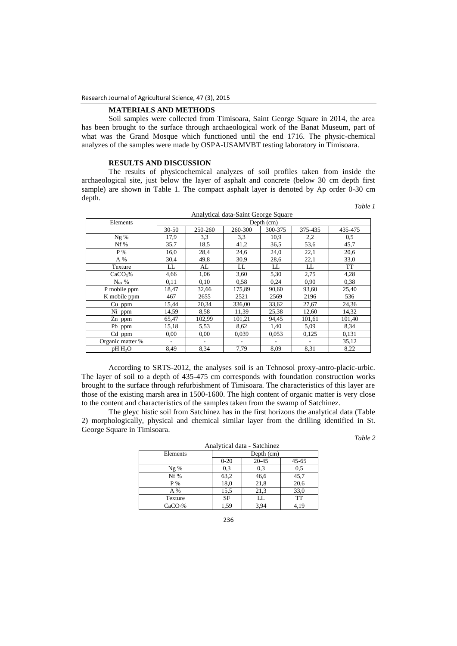# **MATERIALS AND METHODS**

Soil samples were collected from Timisoara, Saint George Square in 2014, the area has been brought to the surface through archaeological work of the Banat Museum, part of what was the Grand Mosque which functioned until the end 1716. The physic-chemical analyzes of the samples were made by OSPA-USAMVBT testing laboratory in Timisoara.

## **RESULTS AND DISCUSSION**

The results of physicochemical analyzes of soil profiles taken from inside the archaeological site, just below the layer of asphalt and concrete (below 30 cm depth first sample) are shown in Table 1. The compact asphalt layer is denoted by Ap order 0-30 cm depth.

*Table 1*

| Analytical data-Saint George Square |            |         |         |         |         |           |  |
|-------------------------------------|------------|---------|---------|---------|---------|-----------|--|
| Elements                            | Depth (cm) |         |         |         |         |           |  |
|                                     | $30-50$    | 250-260 | 260-300 | 300-375 | 375-435 | 435-475   |  |
| Ng %                                | 17,9       | 3,3     | 3.3     | 10,9    | 2,2     | 0,5       |  |
| Nf%                                 | 35,7       | 18.5    | 41,2    | 36,5    | 53,6    | 45,7      |  |
| P%                                  | 16.0       | 28,4    | 24,6    | 24,0    | 22,1    | 20,6      |  |
| A %                                 | 30,4       | 49.8    | 30,9    | 28,6    | 22,1    | 33,0      |  |
| Texture                             | LL         | AL      | LL      | LL      | LL      | <b>TT</b> |  |
| CaCO <sub>3</sub> %                 | 4,66       | 1,06    | 3,60    | 5,30    | 2,75    | 4,28      |  |
| $N_{\text{tot}}$ %                  | 0,11       | 0,10    | 0.58    | 0.24    | 0,90    | 0,38      |  |
| P mobile ppm                        | 18,47      | 32,66   | 175,89  | 90,60   | 93,60   | 25,40     |  |
| $\overline{K}$ mobile ppm           | 467        | 2655    | 2521    | 2569    | 2196    | 536       |  |
| $Cu$ ppm                            | 15,44      | 20,34   | 336,00  | 33,62   | 27,67   | 24,36     |  |
| Ni ppm                              | 14,59      | 8,58    | 11,39   | 25,38   | 12,60   | 14,32     |  |
| Zn ppm                              | 65,47      | 102,99  | 101,21  | 94,45   | 101,61  | 101,40    |  |
| Pb ppm                              | 15,18      | 5,53    | 8.62    | 1,40    | 5,09    | 8.34      |  |
| Cd ppm                              | 0.00       | 0.00    | 0,039   | 0,053   | 0,125   | 0.131     |  |
| Organic matter %                    | ۰          |         |         |         |         | 35,12     |  |
| pH H <sub>2</sub> O                 | 8.49       | 8,34    | 7,79    | 8.09    | 8,31    | 8,22      |  |

According to SRTS-2012, the analyses soil is an Tehnosol proxy-antro-placic-urbic. The layer of soil to a depth of 435-475 cm corresponds with foundation construction works brought to the surface through refurbishment of Timisoara. The characteristics of this layer are those of the existing marsh area in 1500-1600. The high content of organic matter is very close to the content and characteristics of the samples taken from the swamp of Satchinez.

The gleyc histic soil from Satchinez has in the first horizons the analytical data (Table 2) morphologically, physical and chemical similar layer from the drilling identified in St. George Square in Timisoara.

*Table 2*

| Analytical data - Satchinez |           |            |           |  |  |  |  |
|-----------------------------|-----------|------------|-----------|--|--|--|--|
| Elements                    |           | Depth (cm) |           |  |  |  |  |
|                             | $0 - 20$  | 20-45      | $45 - 65$ |  |  |  |  |
| $Ng \%$                     | 0,3       | 0,3        | 0.5       |  |  |  |  |
| Nf%                         | 63,2      | 46,6       | 45,7      |  |  |  |  |
| P %                         | 18,0      | 21,8       | 20,6      |  |  |  |  |
| A %                         | 15,5      | 21,3       | 33,0      |  |  |  |  |
| Texture                     | <b>SF</b> | LL         | TT        |  |  |  |  |
| CaCO <sub>3</sub> %         | 1,59      | 3,94       | 4.19      |  |  |  |  |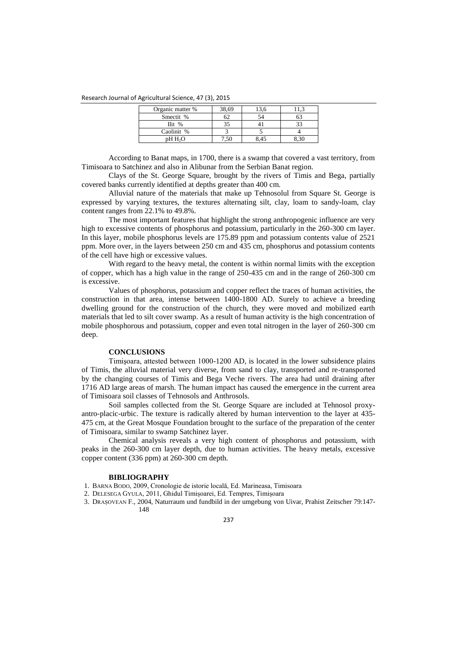### Research Journal of Agricultural Science, 47 (3), 2015

| Organic matter %    | 38.69 |  |
|---------------------|-------|--|
| Smectit %           |       |  |
| $_{\rm{Hit}}$ %     |       |  |
| Caolinit %          |       |  |
| pH H <sub>2</sub> O |       |  |

According to Banat maps, in 1700, there is a swamp that covered a vast territory, from Timisoara to Satchinez and also in Alibunar from the Serbian Banat region.

Clays of the St. George Square, brought by the rivers of Timis and Bega, partially covered banks currently identified at depths greater than 400 cm.

Alluvial nature of the materials that make up Tehnosolul from Square St. George is expressed by varying textures, the textures alternating silt, clay, loam to sandy-loam, clay content ranges from 22.1% to 49.8%.

The most important features that highlight the strong anthropogenic influence are very high to excessive contents of phosphorus and potassium, particularly in the 260-300 cm layer. In this layer, mobile phosphorus levels are 175.89 ppm and potassium contents value of 2521 ppm. More over, in the layers between 250 cm and 435 cm, phosphorus and potassium contents of the cell have high or excessive values.

With regard to the heavy metal, the content is within normal limits with the exception of copper, which has a high value in the range of 250-435 cm and in the range of 260-300 cm is excessive.

Values of phosphorus, potassium and copper reflect the traces of human activities, the construction in that area, intense between 1400-1800 AD. Surely to achieve a breeding dwelling ground for the construction of the church, they were moved and mobilized earth materials that led to silt cover swamp. As a result of human activity is the high concentration of mobile phosphorous and potassium, copper and even total nitrogen in the layer of 260-300 cm deep.

# **CONCLUSIONS**

Timişoara, attested between 1000-1200 AD, is located in the lower subsidence plains of Timis, the alluvial material very diverse, from sand to clay, transported and re-transported by the changing courses of Timis and Bega Veche rivers. The area had until draining after 1716 AD large areas of marsh. The human impact has caused the emergence in the current area of Timisoara soil classes of Tehnosols and Anthrosols.

Soil samples collected from the St. George Square are included at Tehnosol proxyantro-placic-urbic. The texture is radically altered by human intervention to the layer at 435- 475 cm, at the Great Mosque Foundation brought to the surface of the preparation of the center of Timisoara, similar to swamp Satchinez layer.

Chemical analysis reveals a very high content of phosphorus and potassium, with peaks in the 260-300 cm layer depth, due to human activities. The heavy metals, excessive copper content (336 ppm) at 260-300 cm depth.

## **BIBLIOGRAPHY**

1. BARNA BODO, 2009, Cronologie de istorie locală, Ed. Marineasa, Timisoara

2. DELESEGA GYULA, 2011, Ghidul Timișoarei, Ed. Tempres, Timișoara

3. DRAȘOVEAN F., 2004, Naturraum und fundbild in der umgebung von Uivar, Prahist Zeitscher 79:147-

148

### 237